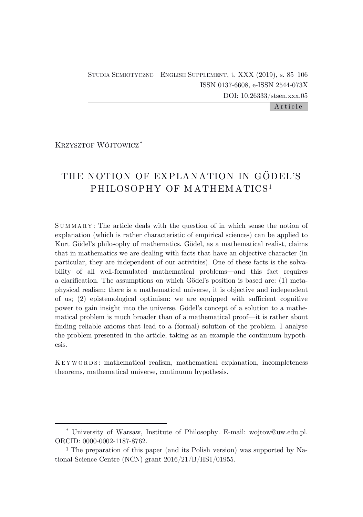STUDIA SEMIOTYCZNE—ENGLISH SUPPLEMENT, t. XXX (2019), s. 85–106 ISSN 0137-6608, e-ISSN 2544-073X DOI: 10.26333/stsen.xxx.05

Article

KRZYSZTOF WÓJTOWICZ\*

# THE NOTION OF EXPLANATION IN GÖDEL'S PHILOSOPHY OF MATHEMATICS<sup>1</sup>

S U M M A R Y : The article deals with the question of in which sense the notion of explanation (which is rather characteristic of empirical sciences) can be applied to Kurt Gödel's philosophy of mathematics. Gödel, as a mathematical realist, claims that in mathematics we are dealing with facts that have an objective character (in particular, they are independent of our activities). One of these facts is the solvability of all well-formulated mathematical problems—and this fact requires a clarification. The assumptions on which Gödel's position is based are: (1) metaphysical realism: there is a mathematical universe, it is objective and independent of us; (2) epistemological optimism: we are equipped with sufficient cognitive power to gain insight into the universe. Gödel's concept of a solution to a mathematical problem is much broader than of a mathematical proof—it is rather about finding reliable axioms that lead to a (formal) solution of the problem. I analyse the problem presented in the article, taking as an example the continuum hypothesis.

K E Y W O R D S : mathematical realism, mathematical explanation, incompleteness theorems, mathematical universe, continuum hypothesis.

<sup>\*</sup> University of Warsaw, Institute of Philosophy. E-mail: wojtow@uw.edu.pl. ORCID: 0000-0002-1187-8762.

<sup>1</sup> The preparation of this paper (and its Polish version) was supported by National Science Centre (NCN) grant 2016/21/B/HS1/01955.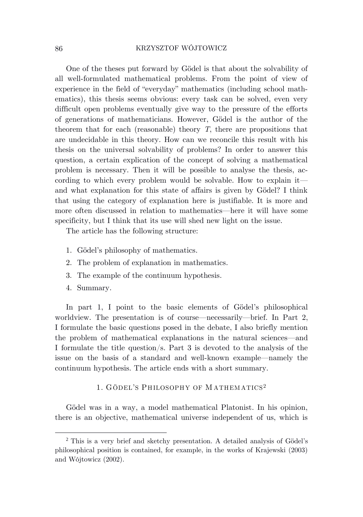One of the theses put forward by Gödel is that about the solvability of all well-formulated mathematical problems. From the point of view of experience in the field of "everyday" mathematics (including school mathematics), this thesis seems obvious: every task can be solved, even very difficult open problems eventually give way to the pressure of the efforts of generations of mathematicians. However, Gödel is the author of the theorem that for each (reasonable) theory *T*, there are propositions that are undecidable in this theory. How can we reconcile this result with his thesis on the universal solvability of problems? In order to answer this question, a certain explication of the concept of solving a mathematical problem is necessary. Then it will be possible to analyse the thesis, according to which every problem would be solvable. How to explain it and what explanation for this state of affairs is given by Gödel? I think that using the category of explanation here is justifiable. It is more and more often discussed in relation to mathematics—here it will have some specificity, but I think that its use will shed new light on the issue.

The article has the following structure:

- 1. Gödel's philosophy of mathematics.
- 2. The problem of explanation in mathematics.
- 3. The example of the continuum hypothesis.
- 4. Summary.

In part 1, I point to the basic elements of Gödel's philosophical worldview. The presentation is of course—necessarily—brief. In Part 2, I formulate the basic questions posed in the debate, I also briefly mention the problem of mathematical explanations in the natural sciences—and I formulate the title question/s. Part 3 is devoted to the analysis of the issue on the basis of a standard and well-known example—namely the continuum hypothesis. The article ends with a short summary.

# 1. GÖDEL'S PHILOSOPHY OF M ATHEM ATICS<sup>2</sup>

Gödel was in a way, a model mathematical Platonist. In his opinion, there is an objective, mathematical universe independent of us, which is

<sup>2</sup> This is a very brief and sketchy presentation. A detailed analysis of Gödel's philosophical position is contained, for example, in the works of Krajewski (2003) and Wójtowicz (2002).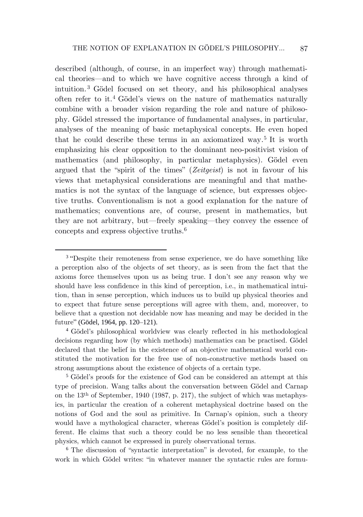described (although, of course, in an imperfect way) through mathematical theories—and to which we have cognitive access through a kind of intuition. <sup>3</sup> Gödel focused on set theory, and his philosophical analyses often refer to it. <sup>4</sup> Gödel's views on the nature of mathematics naturally combine with a broader vision regarding the role and nature of philosophy. Gödel stressed the importance of fundamental analyses, in particular, analyses of the meaning of basic metaphysical concepts. He even hoped that he could describe these terms in an axiomatized way. 5 It is worth emphasizing his clear opposition to the dominant neo-positivist vision of mathematics (and philosophy, in particular metaphysics). Gödel even argued that the "spirit of the times" (*Zeitgeist*) is not in favour of his views that metaphysical considerations are meaningful and that mathematics is not the syntax of the language of science, but expresses objective truths. Conventionalism is not a good explanation for the nature of mathematics; conventions are, of course, present in mathematics, but they are not arbitrary, but—freely speaking—they convey the essence of concepts and express objective truths. 6

<sup>5</sup> Gödel's proofs for the existence of God can be considered an attempt at this type of precision. Wang talks about the conversation between Gödel and Carnap on the 13th of September, 1940 (1987, p. 217), the subject of which was metaphysics, in particular the creation of a coherent metaphysical doctrine based on the notions of God and the soul as primitive. In Carnap's opinion, such a theory would have a mythological character, whereas Gödel's position is completely different. He claims that such a theory could be no less sensible than theoretical physics, which cannot be expressed in purely observational terms.

<sup>6</sup> The discussion of "syntactic interpretation" is devoted, for example, to the work in which Gödel writes: "in whatever manner the syntactic rules are formu-

<sup>&</sup>lt;sup>3</sup> "Despite their remoteness from sense experience, we do have something like a perception also of the objects of set theory, as is seen from the fact that the axioms force themselves upon us as being true. I don't see any reason why we should have less confidence in this kind of perception, i.e., in mathematical intuition, than in sense perception, which induces us to build up physical theories and to expect that future sense perceptions will agree with them, and, moreover, to believe that a question not decidable now has meaning and may be decided in the future" (Gödel, 1964, pp. 120–121).

<sup>4</sup> Gödel's philosophical worldview was clearly reflected in his methodological decisions regarding how (by which methods) mathematics can be practised. Gödel declared that the belief in the existence of an objective mathematical world constituted the motivation for the free use of non-constructive methods based on strong assumptions about the existence of objects of a certain type.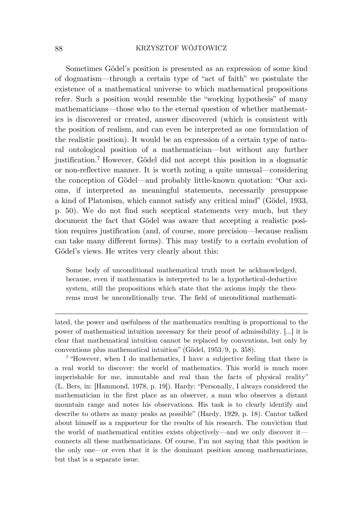Sometimes Gödel's position is presented as an expression of some kind of dogmatism—through a certain type of "act of faith" we postulate the existence of a mathematical universe to which mathematical propositions refer. Such a position would resemble the "working hypothesis" of many mathematicians—those who to the eternal question of whether mathematics is discovered or created, answer discovered (which is consistent with the position of realism, and can even be interpreted as one formulation of the realistic position). It would be an expression of a certain type of natural ontological position of a mathematician—but without any further justification. <sup>7</sup> However, Gödel did not accept this position in a dogmatic or non-reflective manner. It is worth noting a quite unusual—considering the conception of Gödel—and probably little-known quotation: "Our axioms, if interpreted as meaningful statements, necessarily presuppose a kind of Platonism, which cannot satisfy any critical mind" (Gödel, 1933, p. 50). We do not find such sceptical statements very much, but they document the fact that Gödel was aware that accepting a realistic position requires justification (and, of course, more precision—because realism can take many different forms). This may testify to a certain evolution of Gödel's views. He writes very clearly about this:

Some body of unconditional mathematical truth must be ackhnowledged, because, even if mathematics is interpreted to be a hypothetical-deductive system, still the propositions which state that the axioms imply the theorems must be unconditionally true. The field of unconditional mathemati-

lated, the power and usefulness of the mathematics resulting is proportional to the power of mathematical intuition necessary for their proof of admissibility. [...] it is clear that mathematical intuition cannot be replaced by conventions, but only by conventions plus mathematical intuition" (Gödel, 1953/9, p. 358).

<sup>7</sup> "However, when I do mathematics, I have a subjective feeling that there is a real world to discover: the world of mathematics. This world is much more imperishable for me, immutable and real than the facts of physical reality" (L. Bers, in: [Hammond, 1978, p. 19]). Hardy: "Personally, I always considered the mathematician in the first place as an observer, a man who observes a distant mountain range and notes his observations. His task is to clearly identify and describe to others as many peaks as possible" (Hardy, 1929, p. 18). Cantor talked about himself as a rapporteur for the results of his research. The conviction that the world of mathematical entities exists objectively—and we only discover it connects all these mathematicians. Of course, I'm not saying that this position is the only one—or even that it is the dominant position among mathematicians, but that is a separate issue.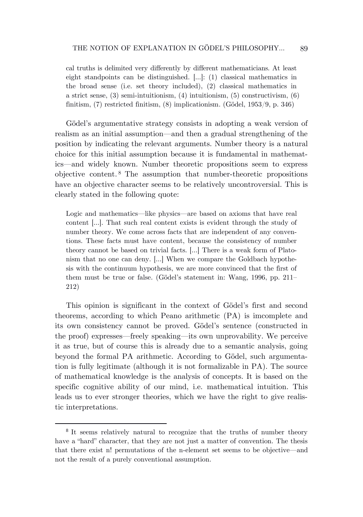cal truths is delimited very differently by different mathematicians. At least eight standpoints can be distinguished. […]: (1) classical mathematics in the broad sense (i.e. set theory included), (2) classical mathematics in a strict sense, (3) semi-intuitionism, (4) intuitionism, (5) constructivism, (6) finitism, (7) restricted finitism, (8) implicationism. (Gödel, 1953/9, p. 346)

Gödel's argumentative strategy consists in adopting a weak version of realism as an initial assumption—and then a gradual strengthening of the position by indicating the relevant arguments. Number theory is a natural choice for this initial assumption because it is fundamental in mathematics—and widely known. Number theoretic propositions seem to express objective content. <sup>8</sup> The assumption that number-theoretic propositions have an objective character seems to be relatively uncontroversial. This is clearly stated in the following quote:

Logic and mathematics—like physics—are based on axioms that have real content […]. That such real content exists is evident through the study of number theory. We come across facts that are independent of any conventions. These facts must have content, because the consistency of number theory cannot be based on trivial facts. […] There is a weak form of Platonism that no one can deny. […] When we compare the Goldbach hypothesis with the continuum hypothesis, we are more convinced that the first of them must be true or false. (Gödel's statement in: Wang, 1996, pp. 211– 212)

This opinion is significant in the context of Gödel's first and second theorems, according to which Peano arithmetic (PA) is imcomplete and its own consistency cannot be proved. Gödel's sentence (constructed in the proof) expresses—freely speaking—its own unprovability. We perceive it as true, but of course this is already due to a semantic analysis, going beyond the formal PA arithmetic. According to Gödel, such argumentation is fully legitimate (although it is not formalizable in PA). The source of mathematical knowledge is the analysis of concepts. It is based on the specific cognitive ability of our mind, i.e. mathematical intuition. This leads us to ever stronger theories, which we have the right to give realistic interpretations.

<sup>&</sup>lt;sup>8</sup> It seems relatively natural to recognize that the truths of number theory have a "hard" character, that they are not just a matter of convention. The thesis that there exist n! permutations of the n-element set seems to be objective—and not the result of a purely conventional assumption.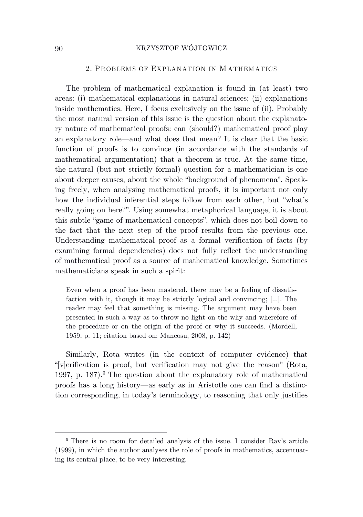#### 2. PROBLEMS OF EXPLANATION IN MATHEMATICS

The problem of mathematical explanation is found in (at least) two areas: (i) mathematical explanations in natural sciences; (ii) explanations inside mathematics. Here, I focus exclusively on the issue of (ii). Probably the most natural version of this issue is the question about the explanatory nature of mathematical proofs: can (should?) mathematical proof play an explanatory role—and what does that mean? It is clear that the basic function of proofs is to convince (in accordance with the standards of mathematical argumentation) that a theorem is true. At the same time, the natural (but not strictly formal) question for a mathematician is one about deeper causes, about the whole "background of phenomena". Speaking freely, when analysing mathematical proofs, it is important not only how the individual inferential steps follow from each other, but "what's really going on here?". Using somewhat metaphorical language, it is about this subtle "game of mathematical concepts", which does not boil down to the fact that the next step of the proof results from the previous one. Understanding mathematical proof as a formal verification of facts (by examining formal dependencies) does not fully reflect the understanding of mathematical proof as a source of mathematical knowledge. Sometimes mathematicians speak in such a spirit:

Even when a proof has been mastered, there may be a feeling of dissatisfaction with it, though it may be strictly logical and convincing; […]. The reader may feel that something is missing. The argument may have been presented in such a way as to throw no light on the why and wherefore of the procedure or on the origin of the proof or why it succeeds. (Mordell, 1959, p. 11; citation based on: Mancosu, 2008, p. 142)

Similarly, Rota writes (in the context of computer evidence) that "[v]erification is proof, but verification may not give the reason" (Rota, 1997, p. 187). <sup>9</sup> The question about the explanatory role of mathematical proofs has a long history—as early as in Aristotle one can find a distinction corresponding, in today's terminology, to reasoning that only justifies

<sup>9</sup> There is no room for detailed analysis of the issue. I consider Rav's article (1999), in which the author analyses the role of proofs in mathematics, accentuating its central place, to be very interesting.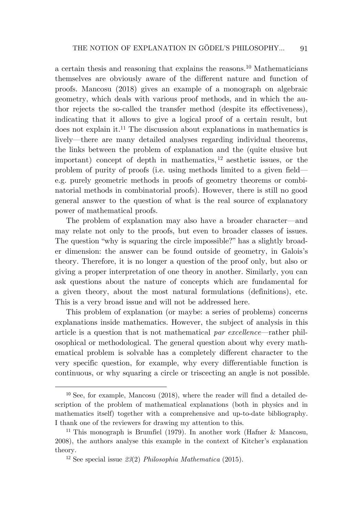a certain thesis and reasoning that explains the reasons. <sup>10</sup> Mathematicians themselves are obviously aware of the different nature and function of proofs. Mancosu (2018) gives an example of a monograph on algebraic geometry, which deals with various proof methods, and in which the author rejects the so-called the transfer method (despite its effectiveness), indicating that it allows to give a logical proof of a certain result, but does not explain it.<sup>11</sup> The discussion about explanations in mathematics is lively—there are many detailed analyses regarding individual theorems, the links between the problem of explanation and the (quite elusive but important) concept of depth in mathematics, <sup>12</sup> aesthetic issues, or the problem of purity of proofs (i.e. using methods limited to a given field e.g. purely geometric methods in proofs of geometry theorems or combinatorial methods in combinatorial proofs). However, there is still no good general answer to the question of what is the real source of explanatory power of mathematical proofs.

The problem of explanation may also have a broader character—and may relate not only to the proofs, but even to broader classes of issues. The question "why is squaring the circle impossible?" has a slightly broader dimension: the answer can be found outside of geometry, in Galois's theory. Therefore, it is no longer a question of the proof only, but also or giving a proper interpretation of one theory in another. Similarly, you can ask questions about the nature of concepts which are fundamental for a given theory, about the most natural formulations (definitions), etc. This is a very broad issue and will not be addressed here.

This problem of explanation (or maybe: a series of problems) concerns explanations inside mathematics. However, the subject of analysis in this article is a question that is not mathematical *par excellence*—rather philosophical or methodological. The general question about why every mathematical problem is solvable has a completely different character to the very specific question, for example, why every differentiable function is continuous, or why squaring a circle or triscecting an angle is not possible.

<sup>10</sup> See, for example, Mancosu (2018), where the reader will find a detailed description of the problem of mathematical explanations (both in physics and in mathematics itself) together with a comprehensive and up-to-date bibliography. I thank one of the reviewers for drawing my attention to this.

<sup>11</sup> This monograph is Brumfiel (1979). In another work (Hafner & Mancosu, 2008), the authors analyse this example in the context of Kitcher's explanation theory.

<sup>12</sup> See special issue *23*(2) *Philosophia Mathematica* (2015).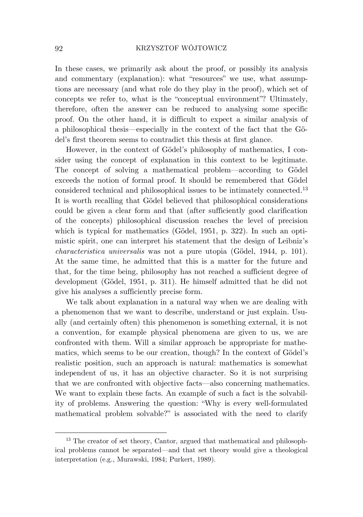In these cases, we primarily ask about the proof, or possibly its analysis and commentary (explanation): what "resources" we use, what assumptions are necessary (and what role do they play in the proof), which set of concepts we refer to, what is the "conceptual environment"? Ultimately, therefore, often the answer can be reduced to analysing some specific proof. On the other hand, it is difficult to expect a similar analysis of a philosophical thesis—especially in the context of the fact that the Gödel's first theorem seems to contradict this thesis at first glance.

However, in the context of Gödel's philosophy of mathematics, I consider using the concept of explanation in this context to be legitimate. The concept of solving a mathematical problem—according to Gödel exceeds the notion of formal proof. It should be remembered that Gödel considered technical and philosophical issues to be intimately connected. 13 It is worth recalling that Gödel believed that philosophical considerations could be given a clear form and that (after sufficiently good clarification of the concepts) philosophical discussion reaches the level of precision which is typical for mathematics (Gödel, 1951, p. 322). In such an optimistic spirit, one can interpret his statement that the design of Leibniz's *characteristica universalis* was not a pure utopia (Gödel, 1944, p. 101). At the same time, he admitted that this is a matter for the future and that, for the time being, philosophy has not reached a sufficient degree of development (Gödel, 1951, p. 311). He himself admitted that he did not give his analyses a sufficiently precise form.

We talk about explanation in a natural way when we are dealing with a phenomenon that we want to describe, understand or just explain. Usually (and certainly often) this phenomenon is something external, it is not a convention, for example physical phenomena are given to us, we are confronted with them. Will a similar approach be appropriate for mathematics, which seems to be our creation, though? In the context of Gödel's realistic position, such an approach is natural: mathematics is somewhat independent of us, it has an objective character. So it is not surprising that we are confronted with objective facts—also concerning mathematics. We want to explain these facts. An example of such a fact is the solvability of problems. Answering the question: "Why is every well-formulated mathematical problem solvable?" is associated with the need to clarify

<sup>&</sup>lt;sup>13</sup> The creator of set theory, Cantor, argued that mathematical and philosophical problems cannot be separated—and that set theory would give a theological interpretation (e.g., Murawski, 1984; Purkert, 1989).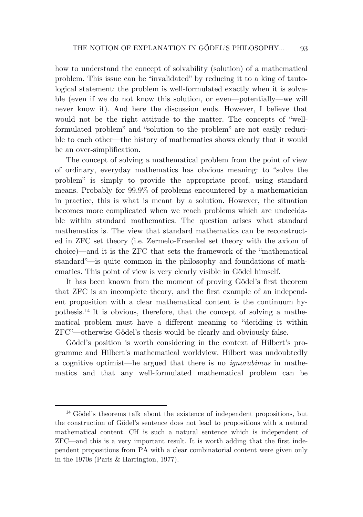how to understand the concept of solvability (solution) of a mathematical problem. This issue can be "invalidated" by reducing it to a king of tautological statement: the problem is well-formulated exactly when it is solvable (even if we do not know this solution, or even—potentially—we will never know it). And here the discussion ends. However, I believe that would not be the right attitude to the matter. The concepts of "wellformulated problem" and "solution to the problem" are not easily reducible to each other—the history of mathematics shows clearly that it would be an over-simplification.

The concept of solving a mathematical problem from the point of view of ordinary, everyday mathematics has obvious meaning: to "solve the problem" is simply to provide the appropriate proof, using standard means. Probably for 99.9% of problems encountered by a mathematician in practice, this is what is meant by a solution. However, the situation becomes more complicated when we reach problems which are undecidable within standard mathematics. The question arises what standard mathematics is. The view that standard mathematics can be reconstructed in ZFC set theory (i.e. Zermelo-Fraenkel set theory with the axiom of choice)—and it is the ZFC that sets the framework of the "mathematical standard"—is quite common in the philosophy and foundations of mathematics. This point of view is very clearly visible in Gödel himself.

It has been known from the moment of proving Gödel's first theorem that ZFC is an incomplete theory, and the first example of an independent proposition with a clear mathematical content is the continuum hypothesis. <sup>14</sup> It is obvious, therefore, that the concept of solving a mathematical problem must have a different meaning to "deciding it within ZFC"—otherwise Gödel's thesis would be clearly and obviously false.

Gödel's position is worth considering in the context of Hilbert's programme and Hilbert's mathematical worldview. Hilbert was undoubtedly a cognitive optimist—he argued that there is no *ignorabimus* in mathematics and that any well-formulated mathematical problem can be

<sup>14</sup> Gödel's theorems talk about the existence of independent propositions, but the construction of Gödel's sentence does not lead to propositions with a natural mathematical content. CH is such a natural sentence which is independent of ZFC—and this is a very important result. It is worth adding that the first independent propositions from PA with a clear combinatorial content were given only in the 1970s (Paris & Harrington, 1977).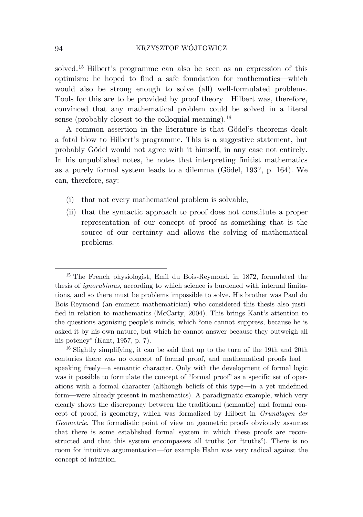solved. <sup>15</sup> Hilbert's programme can also be seen as an expression of this optimism: he hoped to find a safe foundation for mathematics—which would also be strong enough to solve (all) well-formulated problems. Tools for this are to be provided by proof theory . Hilbert was, therefore, convinced that any mathematical problem could be solved in a literal sense (probably closest to the colloquial meaning).<sup>16</sup>

A common assertion in the literature is that Gödel's theorems dealt a fatal blow to Hilbert's programme. This is a suggestive statement, but probably Gödel would not agree with it himself, in any case not entirely. In his unpublished notes, he notes that interpreting finitist mathematics as a purely formal system leads to a dilemma (Gödel, 193?, p. 164). We can, therefore, say:

- (i) that not every mathematical problem is solvable;
- (ii) that the syntactic approach to proof does not constitute a proper representation of our concept of proof as something that is the source of our certainty and allows the solving of mathematical problems.

<sup>15</sup> The French physiologist, Emil du Bois-Reymond, in 1872, formulated the thesis of *ignorabimus*, according to which science is burdened with internal limitations, and so there must be problems impossible to solve. His brother was Paul du Bois-Reymond (an eminent mathematician) who considered this thesis also justified in relation to mathematics (McCarty, 2004). This brings Kant's attention to the questions agonising people's minds, which "one cannot suppress, because he is asked it by his own nature, but which he cannot answer because they outweigh all his potency" (Kant, 1957, p. 7).

<sup>16</sup> Slightly simplifying, it can be said that up to the turn of the 19th and 20th centuries there was no concept of formal proof, and mathematical proofs had speaking freely—a semantic character. Only with the development of formal logic was it possible to formulate the concept of "formal proof" as a specific set of operations with a formal character (although beliefs of this type—in a yet undefined form—were already present in mathematics). A paradigmatic example, which very clearly shows the discrepancy between the traditional (semantic) and formal concept of proof, is geometry, which was formalized by Hilbert in *Grundlagen der Geometrie*. The formalistic point of view on geometric proofs obviously assumes that there is some established formal system in which these proofs are reconstructed and that this system encompasses all truths (or "truths"). There is no room for intuitive argumentation—for example Hahn was very radical against the concept of intuition.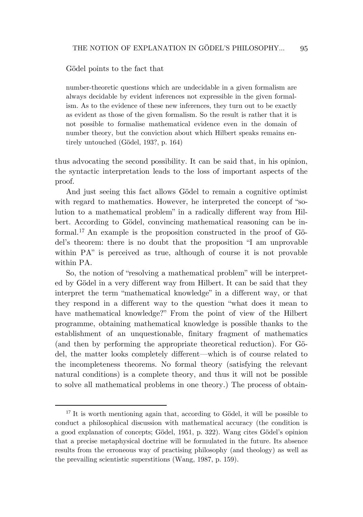Gödel points to the fact that

number-theoretic questions which are undecidable in a given formalism are always decidable by evident inferences not expressible in the given formalism. As to the evidence of these new inferences, they turn out to be exactly as evident as those of the given formalism. So the result is rather that it is not possible to formalise mathematical evidence even in the domain of number theory, but the conviction about which Hilbert speaks remains entirely untouched (Gödel, 193?, p. 164)

thus advocating the second possibility. It can be said that, in his opinion, the syntactic interpretation leads to the loss of important aspects of the proof.

And just seeing this fact allows Gödel to remain a cognitive optimist with regard to mathematics. However, he interpreted the concept of "solution to a mathematical problem" in a radically different way from Hilbert. According to Gödel, convincing mathematical reasoning can be informal. <sup>17</sup> An example is the proposition constructed in the proof of Gödel's theorem: there is no doubt that the proposition "I am unprovable within PA" is perceived as true, although of course it is not provable within PA.

So, the notion of "resolving a mathematical problem" will be interpreted by Gödel in a very different way from Hilbert. It can be said that they interpret the term "mathematical knowledge" in a different way, or that they respond in a different way to the question "what does it mean to have mathematical knowledge?" From the point of view of the Hilbert programme, obtaining mathematical knowledge is possible thanks to the establishment of an unquestionable, finitary fragment of mathematics (and then by performing the appropriate theoretical reduction). For Gödel, the matter looks completely different—which is of course related to the incompleteness theorems. No formal theory (satisfying the relevant natural conditions) is a complete theory, and thus it will not be possible to solve all mathematical problems in one theory.) The process of obtain-

<sup>&</sup>lt;sup>17</sup> It is worth mentioning again that, according to Gödel, it will be possible to conduct a philosophical discussion with mathematical accuracy (the condition is a good explanation of concepts; Gödel, 1951, p. 322). Wang cites Gödel's opinion that a precise metaphysical doctrine will be formulated in the future. Its absence results from the erroneous way of practising philosophy (and theology) as well as the prevailing scientistic superstitions (Wang, 1987, p. 159).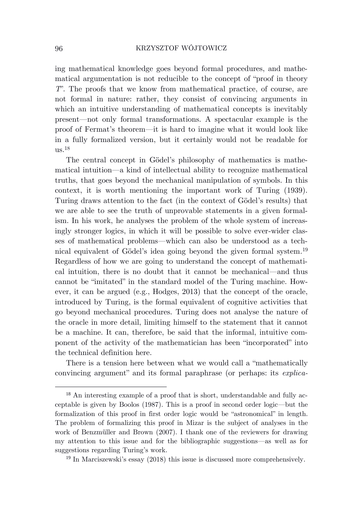ing mathematical knowledge goes beyond formal procedures, and mathematical argumentation is not reducible to the concept of "proof in theory *T*". The proofs that we know from mathematical practice, of course, are not formal in nature: rather, they consist of convincing arguments in which an intuitive understanding of mathematical concepts is inevitably present—not only formal transformations. A spectacular example is the proof of Fermat's theorem—it is hard to imagine what it would look like in a fully formalized version, but it certainly would not be readable for  $us.^{18}$ 

The central concept in Gödel's philosophy of mathematics is mathematical intuition—a kind of intellectual ability to recognize mathematical truths, that goes beyond the mechanical manipulation of symbols. In this context, it is worth mentioning the important work of Turing (1939). Turing draws attention to the fact (in the context of Gödel's results) that we are able to see the truth of unprovable statements in a given formalism. In his work, he analyses the problem of the whole system of increasingly stronger logics, in which it will be possible to solve ever-wider classes of mathematical problems—which can also be understood as a technical equivalent of Gödel's idea going beyond the given formal system. 19 Regardless of how we are going to understand the concept of mathematical intuition, there is no doubt that it cannot be mechanical—and thus cannot be "imitated" in the standard model of the Turing machine. However, it can be argued (e.g., Hodges, 2013) that the concept of the oracle, introduced by Turing, is the formal equivalent of cognitive activities that go beyond mechanical procedures. Turing does not analyse the nature of the oracle in more detail, limiting himself to the statement that it cannot be a machine. It can, therefore, be said that the informal, intuitive component of the activity of the mathematician has been "incorporated" into the technical definition here.

There is a tension here between what we would call a "mathematically convincing argument" and its formal paraphrase (or perhaps: its *explica-*

<sup>18</sup> An interesting example of a proof that is short, understandable and fully acceptable is given by Boolos (1987). This is a proof in second order logic—but the formalization of this proof in first order logic would be "astronomical" in length. The problem of formalizing this proof in Mizar is the subject of analyses in the work of Benzmüller and Brown (2007). I thank one of the reviewers for drawing my attention to this issue and for the bibliographic suggestions—as well as for suggestions regarding Turing's work.

<sup>&</sup>lt;sup>19</sup> In Marciszewski's essay (2018) this issue is discussed more comprehensively.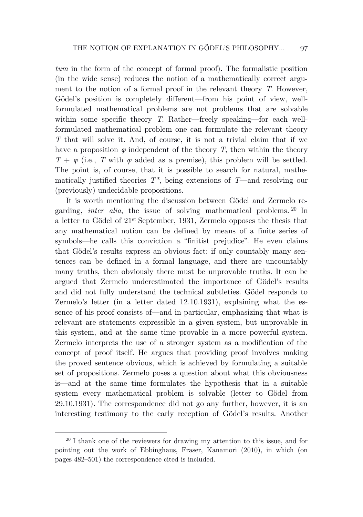*tum* in the form of the concept of formal proof). The formalistic position (in the wide sense) reduces the notion of a mathematically correct argument to the notion of a formal proof in the relevant theory *T*. However, Gödel's position is completely different—from his point of view, wellformulated mathematical problems are not problems that are solvable within some specific theory *T*. Rather—freely speaking—for each wellformulated mathematical problem one can formulate the relevant theory *T* that will solve it. And, of course, it is not a trivial claim that if we have a proposition  $\varphi$  independent of the theory *T*, then within the theory  $T + \varphi$  (i.e., *T* with  $\varphi$  added as a premise), this problem will be settled. The point is, of course, that it is possible to search for natural, mathematically justified theories *T\**, being extensions of *T*—and resolving our (previously) undecidable propositions.

It is worth mentioning the discussion between Gödel and Zermelo regarding, *inter alia*, the issue of solving mathematical problems. <sup>20</sup> In a letter to Gödel of 21st September, 1931, Zermelo opposes the thesis that any mathematical notion can be defined by means of a finite series of symbols—he calls this conviction a "finitist prejudice". He even claims that Gödel's results express an obvious fact: if only countably many sentences can be defined in a formal language, and there are uncountably many truths, then obviously there must be unprovable truths. It can be argued that Zermelo underestimated the importance of Gödel's results and did not fully understand the technical subtleties. Gödel responds to Zermelo's letter (in a letter dated 12.10.1931), explaining what the essence of his proof consists of—and in particular, emphasizing that what is relevant are statements expressible in a given system, but unprovable in this system, and at the same time provable in a more powerful system. Zermelo interprets the use of a stronger system as a modification of the concept of proof itself. He argues that providing proof involves making the proved sentence obvious, which is achieved by formulating a suitable set of propositions. Zermelo poses a question about what this obviousness is—and at the same time formulates the hypothesis that in a suitable system every mathematical problem is solvable (letter to Gödel from 29.10.1931). The correspondence did not go any further, however, it is an interesting testimony to the early reception of Gödel's results. Another

 $20$  I thank one of the reviewers for drawing my attention to this issue, and for pointing out the work of Ebbinghaus, Fraser, Kanamori (2010), in which (on pages 482–501) the correspondence cited is included.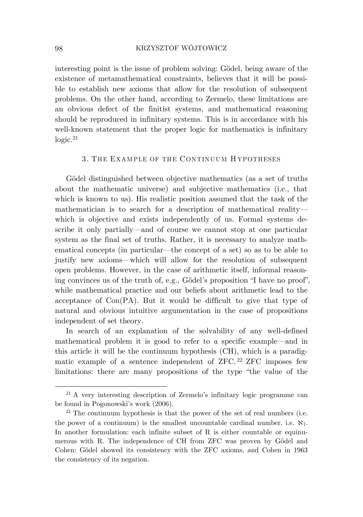interesting point is the issue of problem solving: Gödel, being aware of the existence of metamathematical constraints, believes that it will be possible to establish new axioms that allow for the resolution of subsequent problems. On the other hand, according to Zermelo, these limitations are an obvious defect of the finitist systems, and mathematical reasoning should be reproduced in infinitary systems. This is in accordance with his well-known statement that the proper logic for mathematics is infinitary logic. 21

# 3. THE EXAMPLE OF THE CONTINUUM H YPOTHESES

Gödel distinguished between objective mathematics (as a set of truths about the mathematic universe) and subjective mathematics (i.e., that which is known to us). His realistic position assumed that the task of the mathematician is to search for a description of mathematical reality which is objective and exists independently of us. Formal systems describe it only partially—and of course we cannot stop at one particular system as the final set of truths. Rather, it is necessary to analyze mathematical concepts (in particular—the concept of a set) so as to be able to justify new axioms—which will allow for the resolution of subsequent open problems. However, in the case of arithmetic itself, informal reasoning convinces us of the truth of, e.g., Gödel's proposition "I have no proof", while mathematical practice and our beliefs about arithmetic lead to the acceptance of Con(PA). But it would be difficult to give that type of natural and obvious intuitive argumentation in the case of propositions independent of set theory.

In search of an explanation of the solvability of any well-defined mathematical problem it is good to refer to a specific example—and in this article it will be the continuum hypothesis (CH), which is a paradigmatic example of a sentence independent of ZFC. <sup>22</sup> ZFC imposes few limitations: there are many propositions of the type "the value of the

<sup>21</sup> A very interesting description of Zermelo's infinitary logic programme can be found in Pogonowski's work (2006).

 $22$  The continuum hypothesis is that the power of the set of real numbers (i.e. the power of a continuum) is the smallest uncountable cardinal number, i.e.  $\aleph_1$ . In another formulation: each infinite subset of R is either countable or equinumerous with R. The independence of CH from ZFC was proven by Gödel and Cohen: Gödel showed its consistency with the ZFC axioms, and Cohen in 1963 the consistency of its negation.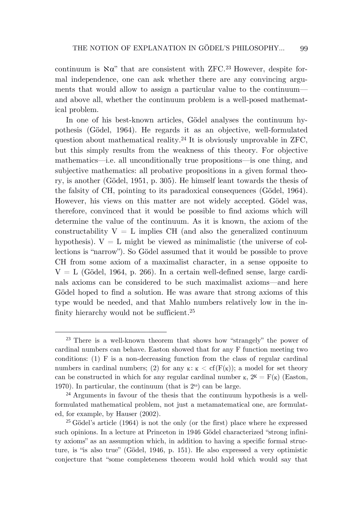continuum is  $\aleph \alpha$ " that are consistent with ZFC.<sup>23</sup> However, despite formal independence, one can ask whether there are any convincing arguments that would allow to assign a particular value to the continuum and above all, whether the continuum problem is a well-posed mathematical problem.

In one of his best-known articles, Gödel analyses the continuum hypothesis (Gödel, 1964). He regards it as an objective, well-formulated question about mathematical reality. <sup>24</sup> It is obviously unprovable in ZFC, but this simply results from the weakness of this theory. For objective mathematics—i.e. all unconditionally true propositions—is one thing, and subjective mathematics: all probative propositions in a given formal theory, is another (Gödel, 1951, p. 305). He himself leant towards the thesis of the falsity of CH, pointing to its paradoxical consequences (Gödel, 1964). However, his views on this matter are not widely accepted. Gödel was, therefore, convinced that it would be possible to find axioms which will determine the value of the continuum. As it is known, the axiom of the constructability  $V = L$  implies CH (and also the generalized continuum hypothesis).  $V = L$  might be viewed as minimalistic (the universe of collections is "narrow"). So Gödel assumed that it would be possible to prove CH from some axiom of a maximalist character, in a sense opposite to  $V = L$  (Gödel, 1964, p. 266). In a certain well-defined sense, large cardinals axioms can be considered to be such maximalist axioms—and here Gödel hoped to find a solution. He was aware that strong axioms of this type would be needed, and that Mahlo numbers relatively low in the infinity hierarchy would not be sufficient.<sup>25</sup>

<sup>&</sup>lt;sup>23</sup> There is a well-known theorem that shows how "strangely" the power of cardinal numbers can behave. Easton showed that for any F function meeting two conditions: (1) F is a non-decreasing function from the class of regular cardinal numbers in cardinal numbers; (2) for any  $\kappa: \kappa < \text{cf}(F(\kappa))$ ; a model for set theory can be constructed in which for any regular cardinal number  $\kappa$ ,  $2<sup>K</sup> = F(\kappa)$  (Easton, 1970). In particular, the continuum (that is  $2^{\omega}$ ) can be large.

<sup>24</sup> Arguments in favour of the thesis that the continuum hypothesis is a wellformulated mathematical problem, not just a metamatematical one, are formulated, for example, by Hauser (2002).

<sup>&</sup>lt;sup>25</sup> Gödel's article  $(1964)$  is not the only (or the first) place where he expressed such opinions. In a lecture at Princeton in 1946 Gödel characterized "strong infinity axioms" as an assumption which, in addition to having a specific formal structure, is "is also true" (Gödel, 1946, p. 151). He also expressed a very optimistic conjecture that "some completeness theorem would hold which would say that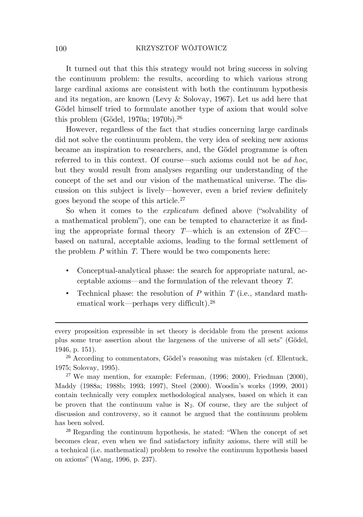It turned out that this this strategy would not bring success in solving the continuum problem: the results, according to which various strong large cardinal axioms are consistent with both the continuum hypothesis and its negation, are known (Levy & Solovay, 1967). Let us add here that Gödel himself tried to formulate another type of axiom that would solve this problem (Gödel, 1970a; 1970b). 26

However, regardless of the fact that studies concerning large cardinals did not solve the continuum problem, the very idea of seeking new axioms became an inspiration to researchers, and, the Gödel programme is often referred to in this context. Of course—such axioms could not be *ad hoc*, but they would result from analyses regarding our understanding of the concept of the set and our vision of the mathematical universe. The discussion on this subject is lively—however, even a brief review definitely goes beyond the scope of this article. 27

So when it comes to the *explicatum* defined above ("solvability of a mathematical problem"), one can be tempted to characterize it as finding the appropriate formal theory *T*—which is an extension of ZFC based on natural, acceptable axioms, leading to the formal settlement of the problem *P* within *T*. There would be two components here:

- Conceptual-analytical phase: the search for appropriate natural, acceptable axioms—and the formulation of the relevant theory *T*.
- Technical phase: the resolution of *P* within *T* (i.e., standard mathematical work—perhaps very difficult). 28

<sup>28</sup> Regarding the continuum hypothesis, he stated: "When the concept of set becomes clear, even when we find satisfactory infinity axioms, there will still be a technical (i.e. mathematical) problem to resolve the continuum hypothesis based on axioms" (Wang, 1996, p. 237).

every proposition expressible in set theory is decidable from the present axioms plus some true assertion about the largeness of the universe of all sets" (Gödel, 1946, p. 151).

<sup>26</sup> According to commentators, Gödel's reasoning was mistaken (cf. Ellentuck, 1975; Solovay, 1995).

<sup>&</sup>lt;sup>27</sup> We may mention, for example: Feferman,  $(1996; 2000)$ , Friedman  $(2000)$ , Maddy (1988a; 1988b; 1993; 1997), Steel (2000). Woodin's works (1999, 2001) contain technically very complex methodological analyses, based on which it can be proven that the continuum value is  $\aleph_2$ . Of course, they are the subject of discussion and controversy, so it cannot be argued that the continuum problem has been solved.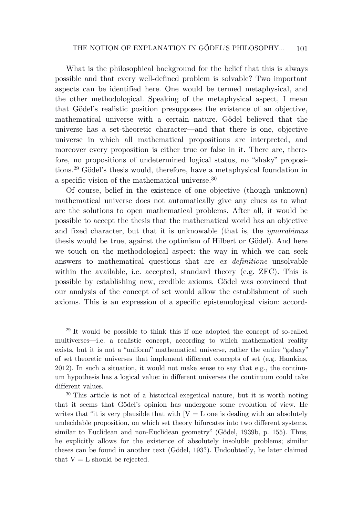What is the philosophical background for the belief that this is always possible and that every well-defined problem is solvable? Two important aspects can be identified here. One would be termed metaphysical, and the other methodological. Speaking of the metaphysical aspect, I mean that Gödel's realistic position presupposes the existence of an objective, mathematical universe with a certain nature. Gödel believed that the universe has a set-theoretic character—and that there is one, objective universe in which all mathematical propositions are interpreted, and moreover every proposition is either true or false in it. There are, therefore, no propositions of undetermined logical status, no "shaky" propositions. <sup>29</sup> Gödel's thesis would, therefore, have a metaphysical foundation in a specific vision of the mathematical universe. 30

Of course, belief in the existence of one objective (though unknown) mathematical universe does not automatically give any clues as to what are the solutions to open mathematical problems. After all, it would be possible to accept the thesis that the mathematical world has an objective and fixed character, but that it is unknowable (that is, the *ignorabimus*  thesis would be true, against the optimism of Hilbert or Gödel). And here we touch on the methodological aspect: the way in which we can seek answers to mathematical questions that are *ex definitione* unsolvable within the available, i.e. accepted, standard theory (e.g. ZFC). This is possible by establishing new, credible axioms. Gödel was convinced that our analysis of the concept of set would allow the establishment of such axioms. This is an expression of a specific epistemological vision: accord-

<sup>29</sup> It would be possible to think this if one adopted the concept of so-called multiverses—i.e. a realistic concept, according to which mathematical reality exists, but it is not a "uniform" mathematical universe, rather the entire "galaxy" of set theoretic universes that implement different concepts of set (e.g. Hamkins, 2012). In such a situation, it would not make sense to say that e.g., the continuum hypothesis has a logical value: in different universes the continuum could take different values.

<sup>30</sup> This article is not of a historical-exegetical nature, but it is worth noting that it seems that Gödel's opinion has undergone some evolution of view. He writes that "it is very plausible that with  $[V - L]$  one is dealing with an absolutely undecidable proposition, on which set theory bifurcates into two different systems, similar to Euclidean and non-Euclidean geometry" (Gödel, 1939b, p. 155). Thus, he explicitly allows for the existence of absolutely insoluble problems; similar theses can be found in another text (Gödel, 193?). Undoubtedly, he later claimed that  $V = L$  should be rejected.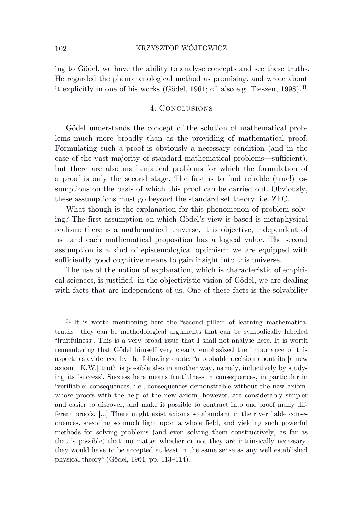ing to Gödel, we have the ability to analyse concepts and see these truths. He regarded the phenomenological method as promising, and wrote about it explicitly in one of his works (Gödel, 1961; cf. also e.g. Tieszen, 1998). 31

## 4. CONCLUSIONS

Gödel understands the concept of the solution of mathematical problems much more broadly than as the providing of mathematical proof. Formulating such a proof is obviously a necessary condition (and in the case of the vast majority of standard mathematical problems—sufficient), but there are also mathematical problems for which the formulation of a proof is only the second stage. The first is to find reliable (true!) assumptions on the basis of which this proof can be carried out. Obviously, these assumptions must go beyond the standard set theory, i.e. ZFC.

What though is the explanation for this phenomenon of problem solving? The first assumption on which Gödel's view is based is metaphysical realism: there is a mathematical universe, it is objective, independent of us—and each mathematical proposition has a logical value. The second assumption is a kind of epistemological optimism: we are equipped with sufficiently good cognitive means to gain insight into this universe.

The use of the notion of explanation, which is characteristic of empirical sciences, is justified: in the objectivistic vision of Gödel, we are dealing with facts that are independent of us. One of these facts is the solvability

<sup>31</sup> It is worth mentioning here the "second pillar" of learning mathematical truths—they can be methodological arguments that can be symbolically labelled "fruitfulness". This is a very broad issue that I shall not analyse here. It is worth remembering that Gödel himself very clearly emphasized the importance of this aspect, as evidenced by the following quote: "a probable decision about its [a new axiom—K.W.] truth is possible also in another way, namely, inductively by studying its 'success'. Success here means fruitfulness in consequences, in particular in 'verifiable' consequences, i.e., consequences demonstrable without the new axiom, whose proofs with the help of the new axiom, however, are considerably simpler and easier to discover, and make it possible to contract into one proof many different proofs. […] There might exist axioms so abundant in their verifiable consequences, shedding so much light upon a whole field, and yielding such powerful methods for solving problems (and even solving them constructively, as far as that is possible) that, no matter whether or not they are intrinsically necessary, they would have to be accepted at least in the same sense as any well established physical theory" (Gödel, 1964, pp. 113–114).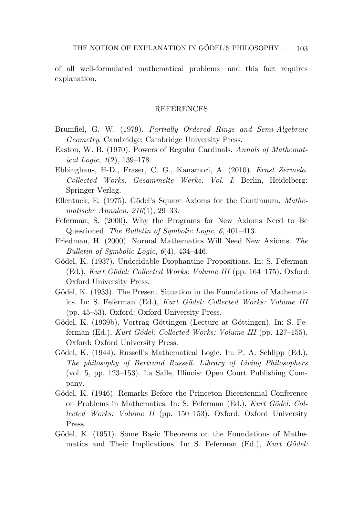of all well-formulated mathematical problems—and this fact requires explanation.

### **REFERENCES**

- Brumfiel, G. W. (1979). *Partially Ordered Rings and Semi-Algebraic Geometry*. Cambridge: Cambridge University Press.
- Easton, W. B. (1970). Powers of Regular Cardinals. *Annals of Mathematical Logic*, *1*(2), 139–178.
- Ebbinghaus, H-D., Fraser, C. G., Kanamori, A. (2010). *Ernst Zermelo. Collected Works. Gesammelte Werke. Vol. I*. Berlin, Heidelberg: Springer-Verlag.
- Ellentuck, E. (1975). Gödel's Square Axioms for the Continuum. *Mathematische Annalen*, *216*(1), 29–33.
- Feferman, S. (2000). Why the Programs for New Axioms Need to Be Questioned. *The Bulletin of Symbolic Logic*, *6*, 401–413.
- Friedman, H. (2000). Normal Mathematics Will Need New Axioms. *The Bulletin of Symbolic Logic*, *6*(4), 434–446.
- Gödel, K. (193?). Undecidable Diophantine Propositions. In: S. Feferman (Ed.), *Kurt Gödel: Collected Works: Volume III* (pp. 164–175). Oxford: Oxford University Press.
- Gödel, K. (1933). The Present Situation in the Foundations of Mathematics. In: S. Feferman (Ed.), *Kurt Gödel: Collected Works: Volume III* (pp. 45–53). Oxford: Oxford University Press.
- Gödel, K. (1939b). Vortrag Göttingen (Lecture at Göttingen). In: S. Feferman (Ed.), *Kurt Gödel: Collected Works: Volume III* (pp. 127–155). Oxford: Oxford University Press.
- Gödel, K. (1944). Russell's Mathematical Logic. In: P. A. Schlipp (Ed.), *The philosophy of Bertrand Russell. Library of Living Philosophers* (vol. 5, pp. 123–153). La Salle, Illinois: Open Court Publishing Company.
- Gödel, K. (1946). Remarks Before the Princeton Bicentennial Conference on Problems in Mathematics. In: S. Feferman (Ed.), *Kurt Gödel: Collected Works: Volume II* (pp. 150–153). Oxford: Oxford University Press.
- Gödel, K. (1951). Some Basic Theorems on the Foundations of Mathematics and Their Implications. In: S. Feferman (Ed.), *Kurt Gödel:*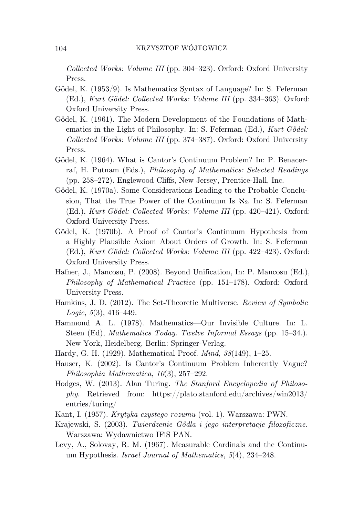*Collected Works: Volume III* (pp. 304–323). Oxford: Oxford University Press.

- Gödel, K. (1953/9). Is Mathematics Syntax of Language? In: S. Feferman (Ed.), *Kurt Gödel: Collected Works: Volume III* (pp. 334–363). Oxford: Oxford University Press.
- Gödel, K. (1961). The Modern Development of the Foundations of Mathematics in the Light of Philosophy. In: S. Feferman (Ed.), *Kurt Gödel: Collected Works: Volume III* (pp. 374–387). Oxford: Oxford University Press.
- Gödel, K. (1964). What is Cantor's Continuum Problem? In: P. Benacerraf, H. Putnam (Eds.), *Philosophy of Mathematics: Selected Readings* (pp. 258–272). Englewood Cliffs, New Jersey, Prentice-Hall, Inc.
- Gödel, K. (1970a). Some Considerations Leading to the Probable Conclusion, That the True Power of the Continuum Is  $\aleph_2$ . In: S. Feferman (Ed.), *Kurt Gödel: Collected Works: Volume III* (pp. 420–421). Oxford: Oxford University Press.
- Gödel, K. (1970b). A Proof of Cantor's Continuum Hypothesis from a Highly Plausible Axiom About Orders of Growth. In: S. Feferman (Ed.), *Kurt Gödel: Collected Works: Volume III* (pp. 422–423). Oxford: Oxford University Press.
- Hafner, J., Mancosu, P. (2008). Beyond Unification, In: P. Mancosu (Ed.), *Philosophy of Mathematical Practice* (pp. 151–178). Oxford: Oxford University Press.
- Hamkins, J. D. (2012). The Set-Theoretic Multiverse. *Review of Symbolic Logic*, *5*(3), 416–449.
- Hammond A. L. (1978). Mathematics—Our Invisible Culture. In: L. Steen (Ed), *Mathematics Today. Twelve Informal Essays* (pp. 15–34.). New York, Heidelberg, Berlin: Springer-Verlag.
- Hardy, G. H. (1929). Mathematical Proof. *Mind*, *38*(149), 1–25.
- Hauser, K. (2002). Is Cantor's Continuum Problem Inherently Vague? *Philosophia Mathematica*, *10*(3), 257–292.
- Hodges, W. (2013). Alan Turing. *The Stanford Encyclopedia of Philosophy*. Retrieved from: https://plato.stanford.edu/archives/win2013/ entries/turing/
- Kant, I. (1957). *Krytyka czystego rozumu* (vol. 1). Warszawa: PWN.
- Krajewski, S. (2003). *Twierdzenie Gödla i jego interpretacje filozoficzne*. Warszawa: Wydawnictwo IFiS PAN.
- Levy, A., Solovay, R. M. (1967). Measurable Cardinals and the Continuum Hypothesis. *Israel Journal of Mathematics*, *5*(4), 234–248.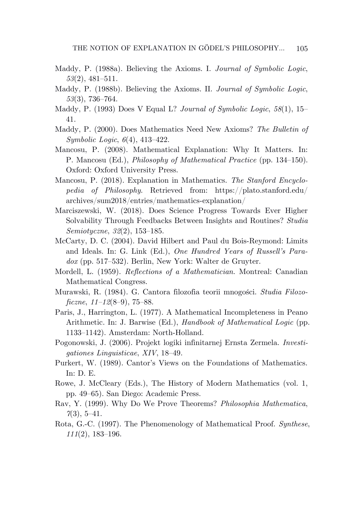- Maddy, P. (1988a). Believing the Axioms. I. *Journal of Symbolic Logic*, *53*(2), 481–511.
- Maddy, P. (1988b). Believing the Axioms. II. *Journal of Symbolic Logic*, *53*(3), 736–764.
- Maddy, P. (1993) Does V Equal L? *Journal of Symbolic Logic*, *58*(1), 15– 41.
- Maddy, P. (2000). Does Mathematics Need New Axioms? *The Bulletin of Symbolic Logic*, *6*(4), 413–422.
- Mancosu, P. (2008). Mathematical Explanation: Why It Matters. In: P. Mancosu (Ed.), *Philosophy of Mathematical Practice* (pp. 134–150). Oxford: Oxford University Press.
- Mancosu, P. (2018). Explanation in Mathematics. *The Stanford Encyclopedia of Philosophy*. Retrieved from: https://plato.stanford.edu/ archives/sum2018/entries/mathematics-explanation/
- Marciszewski, W. (2018). Does Science Progress Towards Ever Higher Solvability Through Feedbacks Between Insights and Routines? *Studia Semiotyczne*, *32*(2), 153–185.
- McCarty, D. C. (2004). David Hilbert and Paul du Bois-Reymond: Limits and Ideals. In: G. Link (Ed.), *One Hundred Years of Russell's Paradox* (pp. 517–532). Berlin, New York: Walter de Gruyter.
- Mordell, L. (1959). *Reflections of a Mathematician*. Montreal: Canadian Mathematical Congress.
- Murawski, R. (1984). G. Cantora filozofia teorii mnogości. *Studia Filozoficzne*, *11–12*(8–9), 75–88.
- Paris, J., Harrington, L. (1977). A Mathematical Incompleteness in Peano Arithmetic. In: J. Barwise (Ed.), *Handbook of Mathematical Logic* (pp. 1133–1142). Amsterdam: North-Holland.
- Pogonowski, J. (2006). Projekt logiki infinitarnej Ernsta Zermela. *Investigationes Linguisticae*, *XIV*, 18–49.
- Purkert, W. (1989). Cantor's Views on the Foundations of Mathematics. In: D. E.
- Rowe, J. McCleary (Eds.), The History of Modern Mathematics (vol. 1, pp. 49–65). San Diego: Academic Press.
- Rav, Y. (1999). Why Do We Prove Theorems? *Philosophia Mathematica*, *7*(3), 5–41.
- Rota, G.-C. (1997). The Phenomenology of Mathematical Proof. *Synthese*, *111*(2), 183–196.